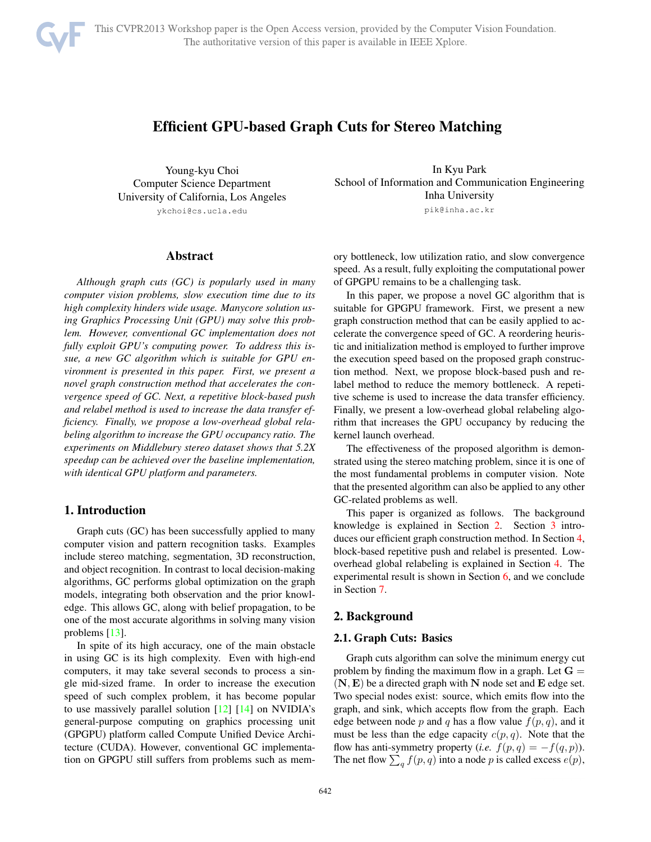

# Efficient GPU-based Graph Cuts for Stereo Matching

Young-kyu Choi Computer Science Department University of California, Los Angeles ykchoi@cs.ucla.edu

#### Abstract

*Although graph cuts (GC) is popularly used in many computer vision problems, slow execution time due to its high complexity hinders wide usage. Manycore solution using Graphics Processing Unit (GPU) may solve this problem. However, conventional GC implementation does not fully exploit GPU's computing power. To address this issue, a new GC algorithm which is suitable for GPU environment is presented in this paper. First, we present a novel graph construction method that accelerates the convergence speed of GC. Next, a repetitive block-based push and relabel method is used to increase the data transfer efficiency. Finally, we propose a low-overhead global relabeling algorithm to increase the GPU occupancy ratio. The experiments on Middlebury stereo dataset shows that 5.2X speedup can be achieved over the baseline implementation, with identical GPU platform and parameters.*

## 1. Introduction

Graph cuts (GC) has been successfully applied to many computer vision and pattern recognition tasks. Examples include stereo matching, segmentation, 3D reconstruction, and object recognition. In contrast to local decision-making algorithms, GC performs global optimization on the graph models, integrating both observation and the prior knowledge. This allows GC, along with belief propagation, to be one of the most accurate algorithms in solving many vision problems [13].

In spite of its high accuracy, one of the main obstacle in using GC is its high complexity. Even with high-end computers, it may take several seconds to process a single mid-sized frame. In order to increase the execution speed of such complex problem, it has become popular to use massively parallel solution  $[12]$   $[14]$  on NVIDIA's general-purpose computing on graphics processing unit (GPGPU) platform called Compute Unified Device Architecture (CUDA). However, conventional GC implementation on GPGPU still suffers from problems such as mem-

In Kyu Park School of Information and Communication Engineering Inha University pik@inha.ac.kr

ory bottleneck, low utilization ratio, and slow convergence speed. As a result, fully exploiting the computational power of GPGPU remains to be a challenging task.

In this paper, we propose a novel GC algorithm that is suitable for GPGPU framework. First, we present a new graph construction method that can be easily applied to accelerate the convergence speed of GC. A reordering heuristic and initialization method is employed to further improve the execution speed based on the proposed graph construction method. Next, we propose block-based push and relabel method to reduce the memory bottleneck. A repetitive scheme is used to increase the data transfer efficiency. Finally, we present a low-overhead global relabeling algorithm that increases the GPU occupancy by reducing the kernel launch overhead.

The effectiveness of the proposed algorithm is demonstrated using the stereo matching problem, since it is one of the most fundamental problems in computer vision. Note that the presented algorithm can also be applied to any other GC-related problems as well.

This paper is organized as follows. The background knowledge is explained in Section 2. Section 3 introduces our efficient graph construction method. In Section 4, block-based repetitive push and relabel is presented. Lowoverhead global relabeling is explained in Section 4. The experimental result is shown in Section 6, and we conclude in Section 7.

## 2. Background

## 2.1. Graph Cuts: Basics

Graph cuts algorithm can solve the minimum energy cut problem by finding the maximum flow in a graph. Let  $G =$ (**N**, **E**) be a directed graph with **N** node set and **E** edge set. Two special nodes exist: source, which emits flow into the graph, and sink, which accepts flow from the graph. Each edge between node p and q has a flow value  $f(p, q)$ , and it must be less than the edge capacity  $c(p, q)$ . Note that the flow has anti-symmetry property (*i.e.*  $f(p,q) = -f(q,p)$ ). The net flow  $\sum_{q} f(p,q)$  into a node p is called excess  $e(p)$ ,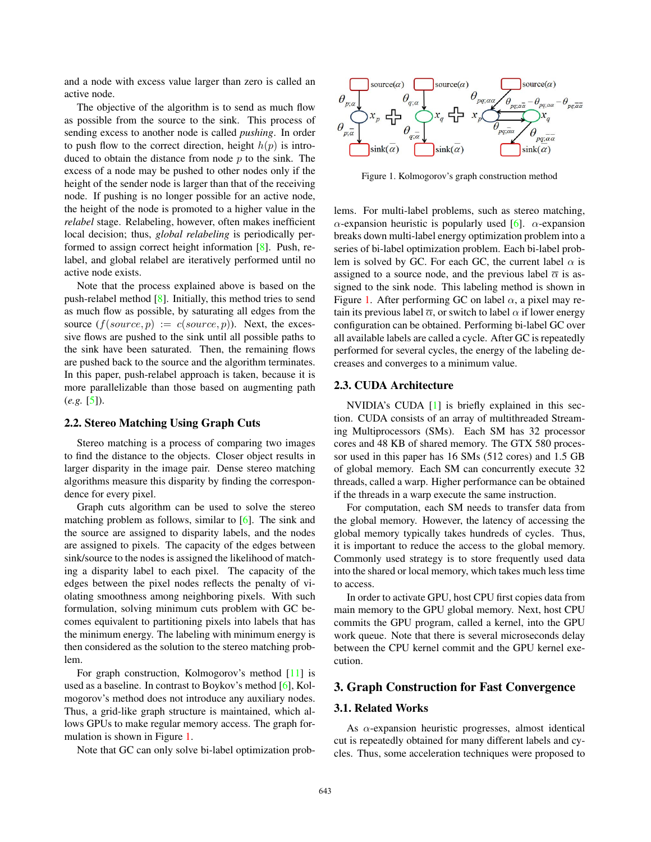and a node with excess value larger than zero is called an active node.

The objective of the algorithm is to send as much flow as possible from the source to the sink. This process of sending excess to another node is called *pushing*. In order to push flow to the correct direction, height  $h(p)$  is introduced to obtain the distance from node  $p$  to the sink. The excess of a node may be pushed to other nodes only if the height of the sender node is larger than that of the receiving node. If pushing is no longer possible for an active node, the height of the node is promoted to a higher value in the *relabel* stage. Relabeling, however, often makes inefficient local decision; thus, *global relabeling* is periodically performed to assign correct height information [8]. Push, relabel, and global relabel are iteratively performed until no active node exists.

Note that the process explained above is based on the push-relabel method [8]. Initially, this method tries to send as much flow as possible, by saturating all edges from the source  $(f(source, p) := c(source, p))$ . Next, the excessive flows are pushed to the sink until all possible paths to the sink have been saturated. Then, the remaining flows are pushed back to the source and the algorithm terminates. In this paper, push-relabel approach is taken, because it is more parallelizable than those based on augmenting path (*e.g.* [5]).

#### 2.2. Stereo Matching Using Graph Cuts

Stereo matching is a process of comparing two images to find the distance to the objects. Closer object results in larger disparity in the image pair. Dense stereo matching algorithms measure this disparity by finding the correspondence for every pixel.

Graph cuts algorithm can be used to solve the stereo matching problem as follows, similar to [6]. The sink and the source are assigned to disparity labels, and the nodes are assigned to pixels. The capacity of the edges between sink/source to the nodes is assigned the likelihood of matching a disparity label to each pixel. The capacity of the edges between the pixel nodes reflects the penalty of violating smoothness among neighboring pixels. With such formulation, solving minimum cuts problem with GC becomes equivalent to partitioning pixels into labels that has the minimum energy. The labeling with minimum energy is then considered as the solution to the stereo matching problem.

For graph construction, Kolmogorov's method [11] is used as a baseline. In contrast to Boykov's method [6], Kolmogorov's method does not introduce any auxiliary nodes. Thus, a grid-like graph structure is maintained, which allows GPUs to make regular memory access. The graph formulation is shown in Figure 1.

Note that GC can only solve bi-label optimization prob-



Figure 1. Kolmogorov's graph construction method

lems. For multi-label problems, such as stereo matching,  $\alpha$ -expansion heuristic is popularly used [6].  $\alpha$ -expansion breaks down multi-label energy optimization problem into a series of bi-label optimization problem. Each bi-label problem is solved by GC. For each GC, the current label  $\alpha$  is assigned to a source node, and the previous label  $\overline{\alpha}$  is assigned to the sink node. This labeling method is shown in Figure 1. After performing GC on label  $\alpha$ , a pixel may retain its previous label  $\overline{\alpha}$ , or switch to label  $\alpha$  if lower energy configuration can be obtained. Performing bi-label GC over all available labels are called a cycle. After GC is repeatedly performed for several cycles, the energy of the labeling decreases and converges to a minimum value.

#### 2.3. CUDA Architecture

NVIDIA's CUDA [1] is briefly explained in this section. CUDA consists of an array of multithreaded Streaming Multiprocessors (SMs). Each SM has 32 processor cores and 48 KB of shared memory. The GTX 580 processor used in this paper has 16 SMs (512 cores) and 1.5 GB of global memory. Each SM can concurrently execute 32 threads, called a warp. Higher performance can be obtained if the threads in a warp execute the same instruction.

For computation, each SM needs to transfer data from the global memory. However, the latency of accessing the global memory typically takes hundreds of cycles. Thus, it is important to reduce the access to the global memory. Commonly used strategy is to store frequently used data into the shared or local memory, which takes much less time to access.

In order to activate GPU, host CPU first copies data from main memory to the GPU global memory. Next, host CPU commits the GPU program, called a kernel, into the GPU work queue. Note that there is several microseconds delay between the CPU kernel commit and the GPU kernel execution.

### 3. Graph Construction for Fast Convergence

### 3.1. Related Works

As  $\alpha$ -expansion heuristic progresses, almost identical cut is repeatedly obtained for many different labels and cycles. Thus, some acceleration techniques were proposed to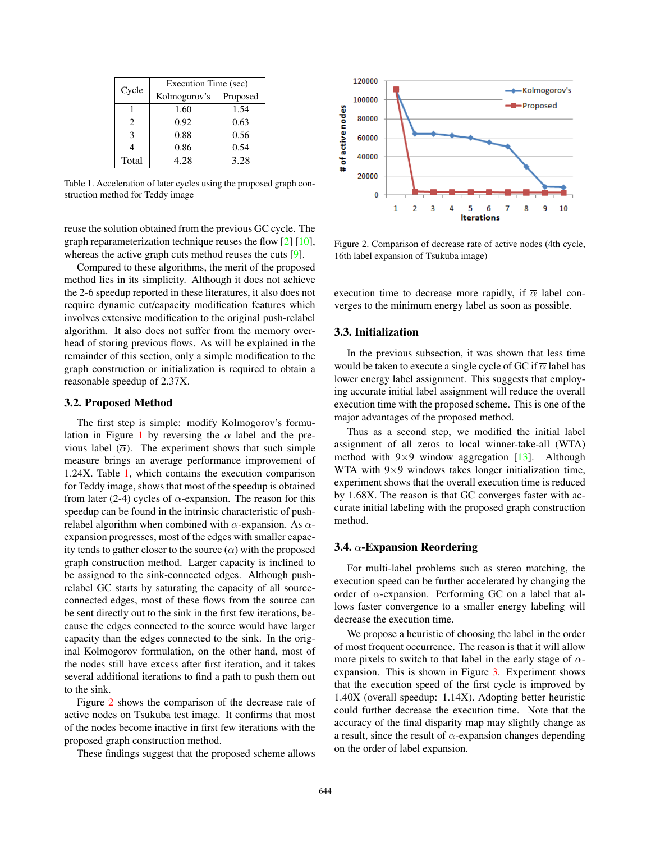| Cycle | Execution Time (sec) |          |  |
|-------|----------------------|----------|--|
|       | Kolmogorov's         | Proposed |  |
|       | 1.60                 | 1.54     |  |
| 2     | 0.92                 | 0.63     |  |
| 3     | 0.88                 | 0.56     |  |
|       | 0.86                 | 0.54     |  |
| Total | 4.28                 | 3.28     |  |

Table 1. Acceleration of later cycles using the proposed graph construction method for Teddy image

reuse the solution obtained from the previous GC cycle. The graph reparameterization technique reuses the flow [2] [10], whereas the active graph cuts method reuses the cuts [9].

Compared to these algorithms, the merit of the proposed method lies in its simplicity. Although it does not achieve the 2-6 speedup reported in these literatures, it also does not require dynamic cut/capacity modification features which involves extensive modification to the original push-relabel algorithm. It also does not suffer from the memory overhead of storing previous flows. As will be explained in the remainder of this section, only a simple modification to the graph construction or initialization is required to obtain a reasonable speedup of 2.37X.

### 3.2. Proposed Method

The first step is simple: modify Kolmogorov's formulation in Figure 1 by reversing the  $\alpha$  label and the previous label  $(\overline{\alpha})$ . The experiment shows that such simple measure brings an average performance improvement of 1.24X. Table 1, which contains the execution comparison for Teddy image, shows that most of the speedup is obtained from later (2-4) cycles of  $\alpha$ -expansion. The reason for this speedup can be found in the intrinsic characteristic of pushrelabel algorithm when combined with  $\alpha$ -expansion. As  $\alpha$ expansion progresses, most of the edges with smaller capacity tends to gather closer to the source  $(\overline{\alpha})$  with the proposed graph construction method. Larger capacity is inclined to be assigned to the sink-connected edges. Although pushrelabel GC starts by saturating the capacity of all sourceconnected edges, most of these flows from the source can be sent directly out to the sink in the first few iterations, because the edges connected to the source would have larger capacity than the edges connected to the sink. In the original Kolmogorov formulation, on the other hand, most of the nodes still have excess after first iteration, and it takes several additional iterations to find a path to push them out to the sink.

Figure 2 shows the comparison of the decrease rate of active nodes on Tsukuba test image. It confirms that most of the nodes become inactive in first few iterations with the proposed graph construction method.

These findings suggest that the proposed scheme allows



Figure 2. Comparison of decrease rate of active nodes (4th cycle, 16th label expansion of Tsukuba image)

execution time to decrease more rapidly, if  $\overline{\alpha}$  label converges to the minimum energy label as soon as possible.

## 3.3. Initialization

In the previous subsection, it was shown that less time would be taken to execute a single cycle of GC if  $\overline{\alpha}$  label has lower energy label assignment. This suggests that employing accurate initial label assignment will reduce the overall execution time with the proposed scheme. This is one of the major advantages of the proposed method.

Thus as a second step, we modified the initial label assignment of all zeros to local winner-take-all (WTA) method with  $9\times9$  window aggregation [13]. Although WTA with  $9\times9$  windows takes longer initialization time, experiment shows that the overall execution time is reduced by 1.68X. The reason is that GC converges faster with accurate initial labeling with the proposed graph construction method.

### 3.4.  $\alpha$ -Expansion Reordering

For multi-label problems such as stereo matching, the execution speed can be further accelerated by changing the order of  $\alpha$ -expansion. Performing GC on a label that allows faster convergence to a smaller energy labeling will decrease the execution time.

We propose a heuristic of choosing the label in the order of most frequent occurrence. The reason is that it will allow more pixels to switch to that label in the early stage of  $\alpha$ expansion. This is shown in Figure 3. Experiment shows that the execution speed of the first cycle is improved by 1.40X (overall speedup: 1.14X). Adopting better heuristic could further decrease the execution time. Note that the accuracy of the final disparity map may slightly change as a result, since the result of  $\alpha$ -expansion changes depending on the order of label expansion.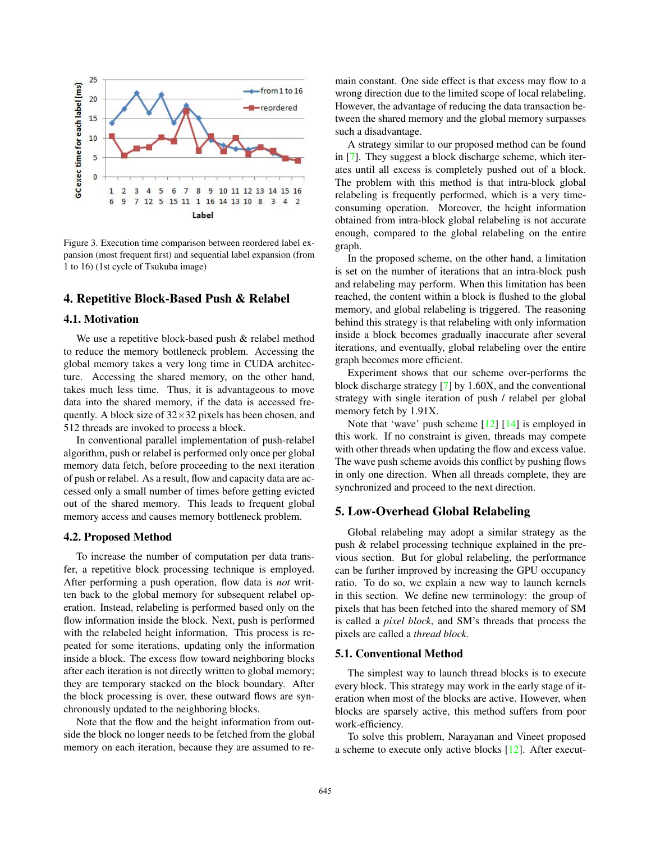

Figure 3. Execution time comparison between reordered label expansion (most frequent first) and sequential label expansion (from 1 to 16) (1st cycle of Tsukuba image)

## 4. Repetitive Block-Based Push & Relabel

#### 4.1. Motivation

We use a repetitive block-based push & relabel method to reduce the memory bottleneck problem. Accessing the global memory takes a very long time in CUDA architecture. Accessing the shared memory, on the other hand, takes much less time. Thus, it is advantageous to move data into the shared memory, if the data is accessed frequently. A block size of  $32\times32$  pixels has been chosen, and 512 threads are invoked to process a block.

In conventional parallel implementation of push-relabel algorithm, push or relabel is performed only once per global memory data fetch, before proceeding to the next iteration of push or relabel. As a result, flow and capacity data are accessed only a small number of times before getting evicted out of the shared memory. This leads to frequent global memory access and causes memory bottleneck problem.

#### 4.2. Proposed Method

To increase the number of computation per data transfer, a repetitive block processing technique is employed. After performing a push operation, flow data is *not* written back to the global memory for subsequent relabel operation. Instead, relabeling is performed based only on the flow information inside the block. Next, push is performed with the relabeled height information. This process is repeated for some iterations, updating only the information inside a block. The excess flow toward neighboring blocks after each iteration is not directly written to global memory; they are temporary stacked on the block boundary. After the block processing is over, these outward flows are synchronously updated to the neighboring blocks.

Note that the flow and the height information from outside the block no longer needs to be fetched from the global memory on each iteration, because they are assumed to remain constant. One side effect is that excess may flow to a wrong direction due to the limited scope of local relabeling. However, the advantage of reducing the data transaction between the shared memory and the global memory surpasses such a disadvantage.

A strategy similar to our proposed method can be found in [7]. They suggest a block discharge scheme, which iterates until all excess is completely pushed out of a block. The problem with this method is that intra-block global relabeling is frequently performed, which is a very timeconsuming operation. Moreover, the height information obtained from intra-block global relabeling is not accurate enough, compared to the global relabeling on the entire graph.

In the proposed scheme, on the other hand, a limitation is set on the number of iterations that an intra-block push and relabeling may perform. When this limitation has been reached, the content within a block is flushed to the global memory, and global relabeling is triggered. The reasoning behind this strategy is that relabeling with only information inside a block becomes gradually inaccurate after several iterations, and eventually, global relabeling over the entire graph becomes more efficient.

Experiment shows that our scheme over-performs the block discharge strategy [7] by 1.60X, and the conventional strategy with single iteration of push / relabel per global memory fetch by 1.91X.

Note that 'wave' push scheme [12] [14] is employed in this work. If no constraint is given, threads may compete with other threads when updating the flow and excess value. The wave push scheme avoids this conflict by pushing flows in only one direction. When all threads complete, they are synchronized and proceed to the next direction.

## 5. Low-Overhead Global Relabeling

Global relabeling may adopt a similar strategy as the push & relabel processing technique explained in the previous section. But for global relabeling, the performance can be further improved by increasing the GPU occupancy ratio. To do so, we explain a new way to launch kernels in this section. We define new terminology: the group of pixels that has been fetched into the shared memory of SM is called a *pixel block*, and SM's threads that process the pixels are called a *thread block*.

## 5.1. Conventional Method

The simplest way to launch thread blocks is to execute every block. This strategy may work in the early stage of iteration when most of the blocks are active. However, when blocks are sparsely active, this method suffers from poor work-efficiency.

To solve this problem, Narayanan and Vineet proposed a scheme to execute only active blocks [12]. After execut-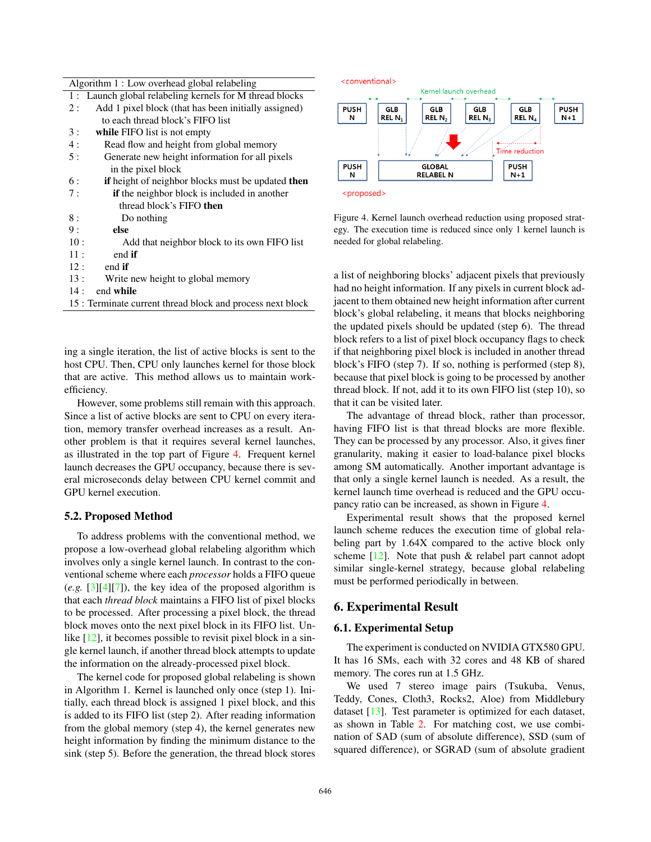| Algorithm 1 : Low overhead global relabeling               |  |  |  |
|------------------------------------------------------------|--|--|--|
| Launch global relabeling kernels for M thread blocks<br>1: |  |  |  |
| Add 1 pixel block (that has been initially assigned)<br>2: |  |  |  |
| to each thread block's FIFO list                           |  |  |  |
| while FIFO list is not empty<br>3:                         |  |  |  |
| 4:<br>Read flow and height from global memory              |  |  |  |
| Generate new height information for all pixels<br>5:       |  |  |  |
| in the pixel block                                         |  |  |  |
| 6 :<br>if height of neighbor blocks must be updated then   |  |  |  |
| 7:<br><b>if</b> the neighbor block is included in another  |  |  |  |
| thread block's FIFO then                                   |  |  |  |
| 8:<br>Do nothing                                           |  |  |  |
| 9:<br>else                                                 |  |  |  |
| 10:<br>Add that neighbor block to its own FIFO list        |  |  |  |
| end if<br>11:                                              |  |  |  |
| 12:<br>end <b>if</b>                                       |  |  |  |
| 13:<br>Write new height to global memory                   |  |  |  |
| 14:<br>end while                                           |  |  |  |
| 15 : Terminate current thread block and process next block |  |  |  |
|                                                            |  |  |  |

ing a single iteration, the list of active blocks is sent to the host CPU. Then, CPU only launches kernel for those block that are active. This method allows us to maintain workefficiency.

However, some problems still remain with this approach. Since a list of active blocks are sent to CPU on every iteration, memory transfer overhead increases as a result. Another problem is that it requires several kernel launches, as illustrated in the top part of Figure 4. Frequent kernel launch decreases the GPU occupancy, because there is several microseconds delay between CPU kernel commit and GPU kernel execution.

#### 5.2. Proposed Method

To address problems with the conventional method, we propose a low-overhead global relabeling algorithm which involves only a single kernel launch. In contrast to the conventional scheme where each *processor* holds a FIFO queue (*e.g.* [3][4][7]), the key idea of the proposed algorithm is that each *thread block* maintains a FIFO list of pixel blocks to be processed. After processing a pixel block, the thread block moves onto the next pixel block in its FIFO list. Unlike [12], it becomes possible to revisit pixel block in a single kernel launch, if another thread block attempts to update the information on the already-processed pixel block.

The kernel code for proposed global relabeling is shown in Algorithm 1. Kernel is launched only once (step 1). Initially, each thread block is assigned 1 pixel block, and this is added to its FIFO list (step 2). After reading information from the global memory (step 4), the kernel generates new height information by finding the minimum distance to the sink (step 5). Before the generation, the thread block stores



Figure 4. Kernel launch overhead reduction using proposed strategy. The execution time is reduced since only 1 kernel launch is needed for global relabeling.

a list of neighboring blocks' adjacent pixels that previously had no height information. If any pixels in current block adjacent to them obtained new height information after current block's global relabeling, it means that blocks neighboring the updated pixels should be updated (step 6). The thread block refers to a list of pixel block occupancy flags to check if that neighboring pixel block is included in another thread block's FIFO (step 7). If so, nothing is performed (step 8), because that pixel block is going to be processed by another thread block. If not, add it to its own FIFO list (step 10), so that it can be visited later.

The advantage of thread block, rather than processor, having FIFO list is that thread blocks are more flexible. They can be processed by any processor. Also, it gives finer granularity, making it easier to load-balance pixel blocks among SM automatically. Another important advantage is that only a single kernel launch is needed. As a result, the kernel launch time overhead is reduced and the GPU occupancy ratio can be increased, as shown in Figure 4.

Experimental result shows that the proposed kernel launch scheme reduces the execution time of global relabeling part by 1.64X compared to the active block only scheme  $[12]$ . Note that push & relabel part cannot adopt similar single-kernel strategy, because global relabeling must be performed periodically in between.

## 6. Experimental Result

#### 6.1. Experimental Setup

The experiment is conducted on NVIDIA GTX580 GPU. It has 16 SMs, each with 32 cores and 48 KB of shared memory. The cores run at 1.5 GHz.

We used 7 stereo image pairs (Tsukuba, Venus, Teddy, Cones, Cloth3, Rocks2, Aloe) from Middlebury dataset [13]. Test parameter is optimized for each dataset, as shown in Table 2. For matching cost, we use combination of SAD (sum of absolute difference), SSD (sum of squared difference), or SGRAD (sum of absolute gradient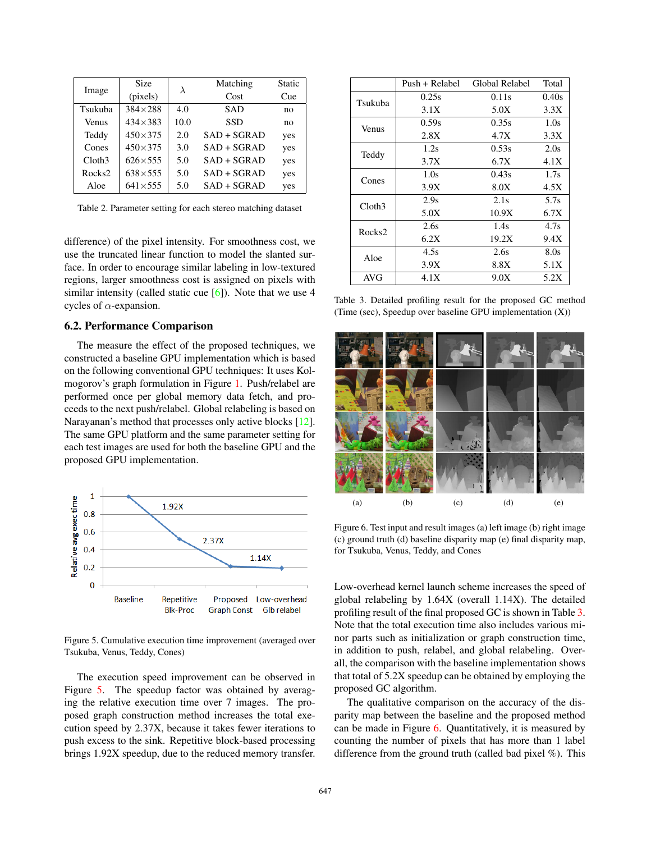|              | Size             | $\lambda$ | Matching      | <b>Static</b> |
|--------------|------------------|-----------|---------------|---------------|
| Image        | (pixels)         |           | Cost          | Cue           |
| Tsukuba      | $384\times288$   | 4.0       | <b>SAD</b>    | no            |
| <b>Venus</b> | $434 \times 383$ | 10.0      | <b>SSD</b>    | no            |
| Teddy        | $450 \times 375$ | 2.0       | $SAD + SGRAD$ | yes           |
| Cones        | $450 \times 375$ | 3.0       | $SAD + SGRAD$ | yes           |
| Cloth3       | $626 \times 555$ | 5.0       | $SAD + SGRAD$ | yes           |
| Rocks2       | $638 \times 555$ | 5.0       | $SAD + SGRAD$ | yes           |
| Aloe         | $641\times555$   | 5.0       | $SAD + SGRAD$ | yes           |

Table 2. Parameter setting for each stereo matching dataset

difference) of the pixel intensity. For smoothness cost, we use the truncated linear function to model the slanted surface. In order to encourage similar labeling in low-textured regions, larger smoothness cost is assigned on pixels with similar intensity (called static cue  $[6]$ ). Note that we use 4 cycles of  $\alpha$ -expansion.

## 6.2. Performance Comparison

The measure the effect of the proposed techniques, we constructed a baseline GPU implementation which is based on the following conventional GPU techniques: It uses Kolmogorov's graph formulation in Figure 1. Push/relabel are performed once per global memory data fetch, and proceeds to the next push/relabel. Global relabeling is based on Narayanan's method that processes only active blocks [12]. The same GPU platform and the same parameter setting for each test images are used for both the baseline GPU and the proposed GPU implementation.



Figure 5. Cumulative execution time improvement (averaged over Tsukuba, Venus, Teddy, Cones)

The execution speed improvement can be observed in Figure 5. The speedup factor was obtained by averaging the relative execution time over 7 images. The proposed graph construction method increases the total execution speed by 2.37X, because it takes fewer iterations to push excess to the sink. Repetitive block-based processing brings 1.92X speedup, due to the reduced memory transfer.

|              | Push + Relabel | Global Relabel | Total |
|--------------|----------------|----------------|-------|
| Tsukuba      | 0.25s          | 0.11s          | 0.40s |
|              | 3.1X           | 5.0X           | 3.3X  |
| <b>Venus</b> | 0.59s          | 0.35s          | 1.0s  |
|              | 2.8X           | 4.7X           | 3.3X  |
|              | 1.2s           | 0.53s          | 2.0s  |
| Teddy        | 3.7X           | 6.7X           | 4.1X  |
| Cones        | 1.0s           | 0.43s          | 1.7s  |
|              | 3.9X           | 8.0X           | 4.5X  |
| Cloth3       | 2.9s           | 2.1s           | 5.7s  |
|              | 5.0X           | 10.9X          | 6.7X  |
| Rocks2       | 2.6s           | 1.4s           | 4.7s  |
|              | 6.2X           | 19.2X          | 9.4X  |
| Aloe         | 4.5s           | 2.6s           | 8.0s  |
|              | 3.9X           | 8.8X           | 5.1X  |
| AVG          | 4.1X           | 9.0X           | 5.2X  |

Table 3. Detailed profiling result for the proposed GC method (Time (sec), Speedup over baseline GPU implementation (X))



Figure 6. Test input and result images (a) left image (b) right image (c) ground truth (d) baseline disparity map (e) final disparity map, for Tsukuba, Venus, Teddy, and Cones

Low-overhead kernel launch scheme increases the speed of global relabeling by 1.64X (overall 1.14X). The detailed profiling result of the final proposed GC is shown in Table 3. Note that the total execution time also includes various minor parts such as initialization or graph construction time, in addition to push, relabel, and global relabeling. Overall, the comparison with the baseline implementation shows that total of 5.2X speedup can be obtained by employing the proposed GC algorithm.

The qualitative comparison on the accuracy of the disparity map between the baseline and the proposed method can be made in Figure 6. Quantitatively, it is measured by counting the number of pixels that has more than 1 label difference from the ground truth (called bad pixel %). This